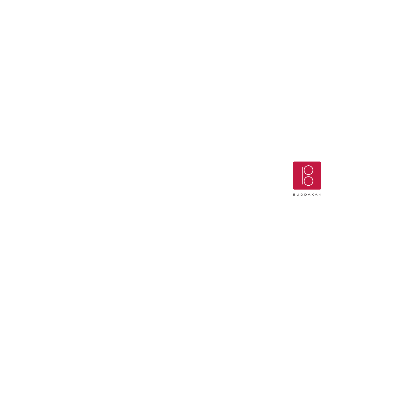

 $\mathbb{R}$ 

 $\mathbb{R}$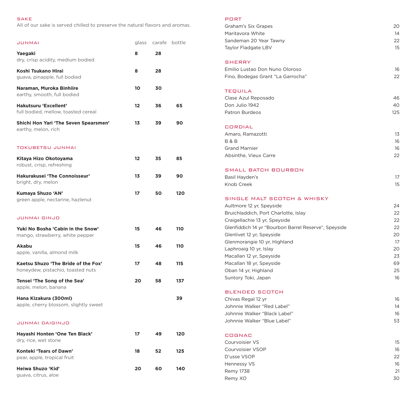### SAKE

All of our sake is served chilled to preserve the natural flavors and aromas.

| <b>JUNMAI</b>                                                            | glass | carafe | bottle |
|--------------------------------------------------------------------------|-------|--------|--------|
| Yaegaki<br>dry, crisp acidity, medium bodied                             | 8     | 28     |        |
| Koshi Tsukano Hirai<br>guava, pinapple, full bodied                      | 8     | 28     |        |
| Naraman, Muroka Binhiire<br>earthy, smooth, full bodied                  | 10    | 30     |        |
| Hakutsuru 'Excellent'<br>full bodied, mellow, toasted cereal             | 12    | 36     | 65     |
| Shichi Hon Yari 'The Seven Spearsmen'<br>earthy, melon, rich             | 13    | 39     | 90     |
| TOKUBETSU JUNMAI                                                         |       |        |        |
| Kitaya Hizo Okotoyama<br>robust, crisp, refreshing                       | 12    | 35     | 85     |
| Hakurakusei 'The Connoisseur'<br>bright, dry, melon                      | 13    | 39     | 90     |
| Kumaya Shuzo 'AN'<br>green apple, nectarine, hazlenut                    | 17    | 50     | 120    |
| JUNMAI GINJO                                                             |       |        |        |
| Yuki No Bosha 'Cabin in the Snow'<br>mango, strawberry, white pepper     | 15    | 46     | 110    |
| <b>Akabu</b><br>apple, vanilla, almond milk                              | 15    | 46     | 110    |
| Kaetsu Shuzo 'The Bride of the Fox'<br>honeydew, pistachio, toasted nuts | 17    | 48     | 115    |
| Tensei 'The Song of the Sea'<br>apple, melon, banana                     | 20    | 58     | 137    |
| Hana Kizakura (300ml)<br>apple, cherry blossom, slightly sweet           |       |        | 39     |
| JUNMAI DAIGINJO                                                          |       |        |        |
| Hayashi Honten 'One Ten Black'<br>dry, rice, wet stone                   | 17    | 49     | 120    |
| Konteki 'Tears of Dawn'<br>pear, apple, tropical fruit                   | 18    | 52     | 125    |
| Heiwa Shuzo 'Kid'<br>guava, citrus, aloe                                 | 20    | 60     | 140    |

#### PORT

| Graham's Six Grapes                                  | 20  |
|------------------------------------------------------|-----|
| Maritavora White                                     | 14  |
| Sandeman 20 Year Tawny                               | 22  |
| Taylor Fladgate LBV                                  | 15  |
|                                                      |     |
| <b>SHERRY</b>                                        |     |
| Emilio Lustao Don Nuno Oloroso                       | 16  |
| Fino, Bodegas Grant "La Garrocha"                    | 22  |
| <b>TEQUILA</b>                                       |     |
| Clase Azul Reposado                                  | 46  |
| Don Julio 1942                                       | 40  |
| <b>Patron Burdeos</b>                                | 125 |
| <b>CORDIAL</b>                                       |     |
| Amaro, Ramazotti                                     | 13  |
| <b>B&amp;B</b>                                       | 16  |
| <b>Grand Marnier</b>                                 | 16  |
| Absinthe, Vieux Carre                                | 22  |
| SMALL BATCH BOURBON                                  |     |
| Basil Hayden's                                       | 17  |
| Knob Creek                                           | 15  |
| SINGLE MALT SCOTCH & WHISKY                          |     |
| Aultmore 12 yr, Speyside                             | 24  |
| Bruichladdich, Port Charlotte, Islay                 | 22  |
| Craigellachie 13 yr, Speyside                        | 22  |
| Glenfiddich 14 yr "Bourbon Barrel Reserve", Speyside | 22  |
| Glenlivet 12 yr, Speyside                            | 20  |
| Glenmorangie 10 yr, Highland                         | 17  |
| Laphroaig 10 yr, Islay                               | 20  |
| Macallan 12 yr, Speyside                             | 23  |
| Macallan 18 yr, Speyside                             | 69  |
| Oban 14 yr, Highland                                 | 25  |
| Suntory Toki, Japan                                  | 16  |
| <b>BLENDED SCOTCH</b>                                |     |
| Chivas Regal 12 yr                                   | 16  |
| Johnnie Walker "Red Label"                           | 14  |
| Johnnie Walker "Black Label"                         | 16  |
| Johnnie Walker "Blue Label"                          | 53  |
| <b>COGNAC</b>                                        |     |
| Courvoisier VS                                       | 15  |
| Courvoisier VSOP                                     | 16  |
| D'usse VSOP                                          | 22  |
| Hennessy VS                                          | 16  |
| <b>Remy 1738</b>                                     | 21  |
| Remy XO                                              | 30  |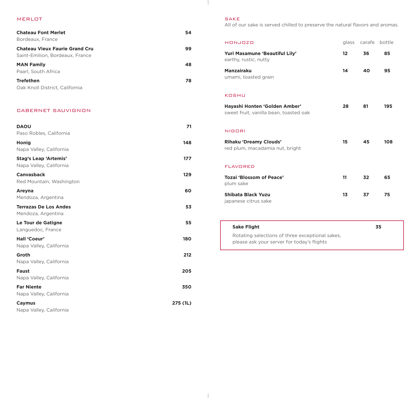#### MERLOT

| <b>Chateau Font Merlet</b><br>Bordeaux, France                           | 54 |
|--------------------------------------------------------------------------|----|
| <b>Chateau Vieux Faurie Grand Cru</b><br>Saint-Emilion, Bordeaux, France | 99 |
| <b>MAN Family</b><br>Paarl, South Africa                                 | 48 |
| <b>Trefethen</b><br>Oak Knoll District, California                       | 78 |

#### CABERNET SAUVIGNON

| <b>DAOU</b><br>Paso Robles, California                  | 71       |
|---------------------------------------------------------|----------|
| <b>Honig</b><br>Napa Valley, California                 | 148      |
| <b>Stag's Leap 'Artemis'</b><br>Napa Valley, California | 177      |
| <b>Canvasback</b><br>Red Mountain, Washington           | 129      |
| Areyna<br>Mendoza, Argentina                            | 60       |
| <b>Terrazas De Los Andes</b><br>Mendoza, Argentina      | 53       |
| Le Tour de Gatigne<br>Languedoc, France                 | 55       |
| Hall 'Coeur'<br>Napa Valley, California                 | 180      |
| Groth<br>Napa Valley, California                        | 212      |
| <b>Faust</b><br>Napa Valley, California                 | 205      |
| <b>Far Niente</b><br>Napa Valley, California            | 350      |
| Caymus<br>Napa Valley, California                       | 275 (1L) |

# SAKE

 $\mathbb{R}$ 

All of our sake is served chilled to preserve the natural flavors and aromas.

| HONJOZO                                                                 | glass             | carafe | bottle |
|-------------------------------------------------------------------------|-------------------|--------|--------|
| Yuri Masamune 'Beautiful Lily'<br>earthy, rustic, nutty                 | $12 \overline{ }$ | 36     | 85     |
| <b>Manzairaku</b><br>umami, toasted grain                               | 14                | 40     | 95     |
| KOSHU                                                                   |                   |        |        |
| Hayashi Honten 'Golden Amber'<br>sweet fruit, vanilla bean, toasted oak | 28                | 81     | 195    |
| NIGORI                                                                  |                   |        |        |
| <b>Rihaku 'Dreamy Clouds'</b><br>red plum, macadamia nut, bright        | 15                | 45     | 108    |
| <b>FLAVORED</b>                                                         |                   |        |        |
| Tozai 'Blossom of Peace'<br>plum sake                                   | 11                | 32     | 65     |
| <b>Shibata Black Yuzu</b><br>japanese citrus sake                       | 13                | 37     | 75     |

| <b>Sake Flight</b>                              | 35 |
|-------------------------------------------------|----|
| Rotating selections of three exceptional sakes, |    |
| please ask your server for today's flights      |    |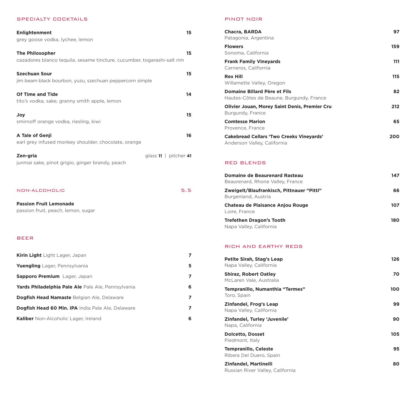## SPECIALTY COCKTAILS

| <b>Enlightenment</b><br>grey goose vodka, lychee, lemon                                           | 15                    |
|---------------------------------------------------------------------------------------------------|-----------------------|
| <b>The Philosopher</b><br>cazadores blanco tequila, sesame tincture, cucumber, togarashi-salt rim | 15                    |
| <b>Szechuan Sour</b><br>jim beam black bourbon, yuzu, szechuan peppercorn simple                  | 15                    |
| Of Time and Tide<br>tito's vodka, sake, granny smith apple, lemon                                 | 14                    |
| Joy<br>smirnoff orange vodka, riesling, kiwi                                                      | 15                    |
| A Tale of Genji<br>earl grey infused monkey shoulder, chocolate, orange                           | 16                    |
| Zen-gria<br>junmai sake, pinot grigio, ginger brandy, peach                                       | glass 11   pitcher 41 |
| NON-ALCOHOLIC                                                                                     | 5.5                   |
| <b>Passion Fruit Lemonade</b><br>passion fruit, peach, lemon, sugar                               |                       |
| <b>BEER</b>                                                                                       |                       |
| Kirin Light Light Lager, Japan                                                                    | 7                     |
| Yuengling Lager, Pennsylvania                                                                     | 5                     |
| Sapporo Premium Lager, Japan                                                                      | 7                     |
| Yards Philadelphia Pale Ale Pale Ale, Pennsylvania                                                | 6                     |
| Dogfish Head Namaste Belgian Ale, Delaware                                                        | 7                     |
| Dogfish Head 60 Min. IPA India Pale Ale, Delaware                                                 | 7                     |

**Kaliber** Non-Alcoholic Lager, Ireland **6**

#### PINOT NOIR

| 97  |
|-----|
| 159 |
| 111 |
| 115 |
| 82  |
| 212 |
| 65  |
| 200 |
|     |

# RED BLENDS

| Domaine de Beaurenard Rasteau<br>Beaurenard, Rhone Valley, France | 147 |
|-------------------------------------------------------------------|-----|
| Zweigelt/Blaufrankisch, Pittnauer "Pitti"<br>Burgenland, Austria  | 66  |
| <b>Chateau de Plaisance Anjou Rouge</b><br>Loire, France          | 107 |
| <b>Trefethen Dragon's Tooth</b><br>Napa Valley, California        | 180 |

# RICH AND EARTHY REDS

| <b>Petite Sirah, Stag's Leap</b><br>Napa Valley, California | 126 |
|-------------------------------------------------------------|-----|
| <b>Shiraz, Robert Oatley</b><br>McLaren Vale, Australia     | 70  |
| Tempranillo, Numanthia "Termes"<br>Toro, Spain              | 100 |
| Zinfandel, Frog's Leap<br>Napa Valley, California           | 99  |
| Zinfandel, Turley 'Juvenile'<br>Napa, California            | 90  |
| <b>Dolcetto, Dosset</b><br>Piedmont, Italy                  | 105 |
| <b>Tempranillo, Celeste</b><br>Ribera Del Duero, Spain      | 95  |
| Zinfandel, Martinelli<br>Russian River Valley, California   | 80  |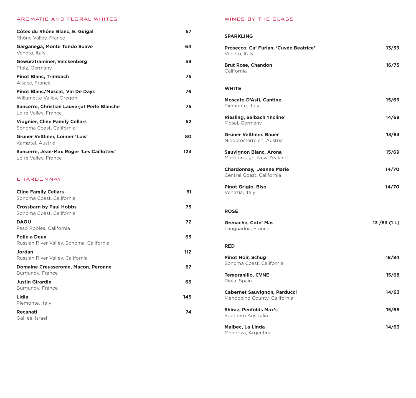# AROMATIC AND FLORAL WHITES

| Côtes du Rhône Blanc, E. Guigal<br>Rhône Valley, France             | 57  |
|---------------------------------------------------------------------|-----|
| Garganega, Monte Tondo Soave<br>Veneto, Italy                       | 64  |
| Gewürztraminer, Valckenberg<br>Pfalz, Germany                       | 59  |
| <b>Pinot Blanc, Trimbach</b><br>Alsace, France                      | 75  |
| <b>Pinot Blanc/Muscat, Vin De Days</b><br>Willamette Valley, Oregon | 76  |
| Sancerre, Christian Lauverjat Perle Blanche<br>Loire Valley, France | 75  |
| <b>Viognier, Cline Family Cellars</b><br>Sonoma Coast, California   | 52  |
| Gruner Veltliner, Loimer 'Lois'<br>Kamptal, Austria                 | 80  |
| Sancerre, Jean-Max Roger 'Les Caillottes'<br>Loire Valley, France   | 123 |

# **CHARDONNAY**

| <b>Cline Family Cellars</b><br>Sonoma Coast, California         | 61  |
|-----------------------------------------------------------------|-----|
| <b>Crossbarn by Paul Hobbs</b><br>Sonoma Coast, California      | 75  |
| <b>DAOU</b><br>Paso Robles, California                          | 72  |
| <b>Folie a Deux</b><br>Russian River Valley, Sonoma, California | 65  |
| Jordan<br>Russian River Valley, California                      | 112 |
| <b>Domaine Creusserome, Macon, Peronne</b><br>Burgundy, France  | 67  |
| <b>Justin Girardin</b><br>Burgundy, France                      | 66  |
| Lidia<br>Piemonte, Italy                                        | 145 |
| Recanati<br>Galilee, Israel                                     | 74  |

## WINES BY THE GLASS

| <b>SPARKLING</b>                                                    |            |
|---------------------------------------------------------------------|------------|
| Prosecco, Ca' Furlan, 'Cuvée Beatrice'<br>Veneto, Italy             | 13/59      |
| <b>Brut Rose, Chandon</b><br>California                             | 16/75      |
| <b>WHITE</b>                                                        |            |
| <b>Moscato D'Asti, Cantine</b><br>Piemonte, Italy                   | 15/69      |
| Riesling, Selbach 'Incline'<br>Mosel, Germany                       | 14/68      |
| Grüner Veltliner, Bauer<br>Niederösterreich, Austria                | 13/63      |
| <b>Sauvignon Blanc, Arona</b><br>Marlborough, New Zealand           | 15/69      |
| <b>Chardonnay, Jeanne Marie</b><br>Central Coast, California        | 14/70      |
| <b>Pinot Grigio, Biso</b><br>Venezia, Italy                         | 14/70      |
| <b>ROSÉ</b>                                                         |            |
| <b>Grenache, Cote' Mas</b><br>Languadoc, France                     | 13/63(1 L) |
| <b>RED</b>                                                          |            |
| <b>Pinot Noir, Schug</b><br>Sonoma Coast, California                | 18/84      |
| <b>Tempranillo, CVNE</b><br>Rioja, Spain                            | 15/68      |
| <b>Cabernet Sauvignon, Parducci</b><br>Mendocino County, California | 14/63      |
| <b>Shiraz, Penfolds Max's</b><br>Southern Australia                 | 15/68      |
| Malbec, La Linda                                                    | 14/63      |

Mendoza, Argentina